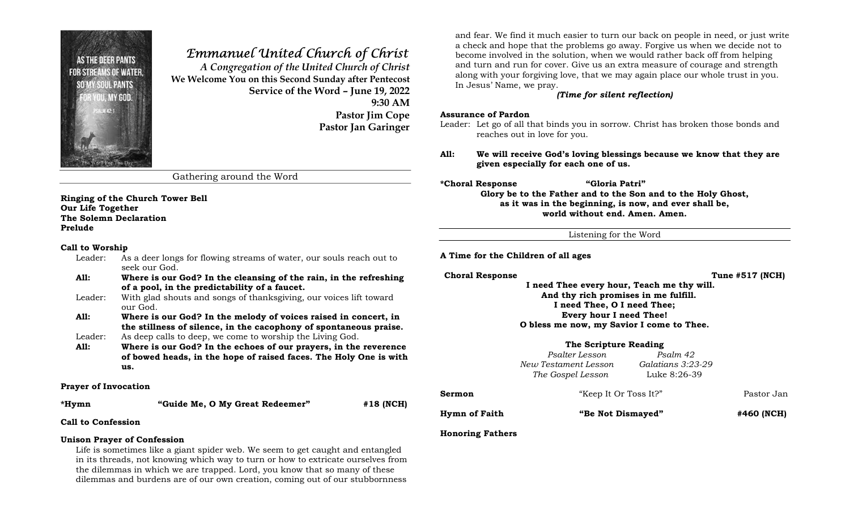

# Emmanuel United Church of Christ

A Congregation of the United Church of Christ We Welcome You on this Second Sunday after Pentecost Service of the Word – June 19, 2022 9:30 AM Pastor Jim Cope Pastor Jan Garinger

Gathering around the Word

Ringing of the Church Tower Bell Our Life Together The Solemn Declaration Prelude

### Call to Worship

- Leader: As a deer longs for flowing streams of water, our souls reach out to seek our God.
- All: Where is our God? In the cleansing of the rain, in the refreshing of a pool, in the predictability of a faucet.
- Leader: With glad shouts and songs of thanksgiving, our voices lift toward our God.
- All: Where is our God? In the melody of voices raised in concert, in the stillness of silence, in the cacophony of spontaneous praise.
- Leader: As deep calls to deep, we come to worship the Living God.
- All: Where is our God? In the echoes of our prayers, in the reverence of bowed heads, in the hope of raised faces. The Holy One is with us.

### Prayer of Invocation

\*Hymn "Guide Me, O My Great Redeemer" #18 (NCH)

Call to Confession

### Unison Prayer of Confession

Life is sometimes like a giant spider web. We seem to get caught and entangled in its threads, not knowing which way to turn or how to extricate ourselves from the dilemmas in which we are trapped. Lord, you know that so many of these dilemmas and burdens are of our own creation, coming out of our stubbornness

and fear. We find it much easier to turn our back on people in need, or just write a check and hope that the problems go away. Forgive us when we decide not to become involved in the solution, when we would rather back off from helping and turn and run for cover. Give us an extra measure of courage and strength along with your forgiving love, that we may again place our whole trust in you. In Jesus' Name, we pray.

### (Time for silent reflection)

### Assurance of Pardon

Leader: Let go of all that binds you in sorrow. Christ has broken those bonds and reaches out in love for you.

- All: We will receive God's loving blessings because we know that they are given especially for each one of us.
- 

\*Choral Response "Gloria Patri"

Glory be to the Father and to the Son and to the Holy Ghost, as it was in the beginning, is now, and ever shall be, world without end. Amen. Amen.

Listening for the Word

A Time for the Children of all ages

### Choral Response Tune #517 (NCH)

 I need Thee every hour, Teach me thy will. And thy rich promises in me fulfill. I need Thee, O I need Thee; Every hour I need Thee! O bless me now, my Savior I come to Thee.

### The Scripture Reading

 Psalter Lesson Psalm 42 New Testament Lesson Galatians 3:23-29 The Gospel Lesson Luke 8:26-39

| Hymn of Faith | "Be Not Dismayed"     | #460 (NCH) |
|---------------|-----------------------|------------|
|               |                       |            |
| Sermon        | "Keep It Or Toss It?" | Pastor Jan |

### Honoring Fathers